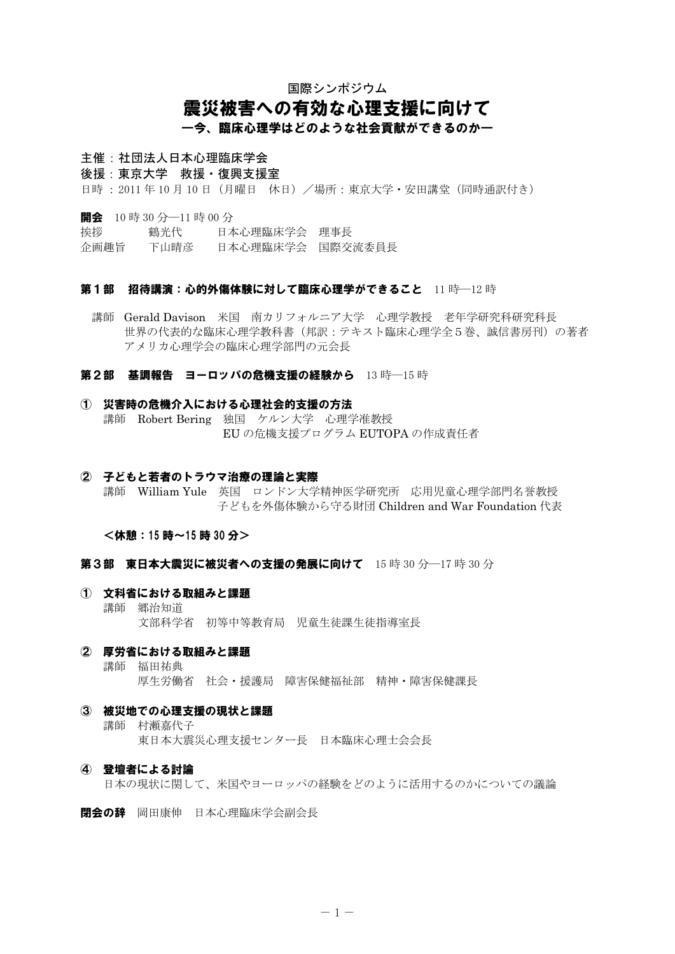# 国際シンポジウム 震災被害への有効な心理支援に向けて ―今、臨床心理学はどのような社会貢献ができるのか―

## 主催 : 社団法人日本心理臨床学会

後援:東京大学 救援・復興支援室

日時: 2011年10月10日 (月曜日 休日) /場所:東京大学・安田講堂 (同時通訳付き)

開会 10 時 30 分–11 時 00 分

挨拶 鶴光代 日本心理臨床学会 理事長

企画趣旨 下山晴彦 日本心理臨床学会 国際交流委員長

#### 第1部 招待講演:心的外傷体験に対して臨床心理学ができること 11 時––12 時

 講師 Gerald Davison 米国 南カリフォルニア大学 心理学教授 老年学研究科研究科長 世界の代表的な臨床心理学教科書(邦訳:テキスト臨床心理学全5巻、誠信書房刊)の著者 アメリカ心理学会の臨床心理学部門の元会長

### 第2部 基調報告 ヨーロッパの危機支援の経験から 13 時––15 時

### ① 災害時の危機介入における心理社会的支援の方法 講師 Robert Bering 独国 ケルン大学 心理学准教授 EU の危機支援プログラム EUTOPA の作成責任者

### ② 子どもと若者のトラウマ治療の理論と実際

 講師 William Yule 英国 ロンドン大学精神医学研究所 応用児童心理学部門名誉教授 子どもを外傷体験から守る財団 Children and War Foundation 代表

<休憩:15 時~15 時 30 分>

第3部 東日本大震災に被災者への支援の発展に向けて 15 時 30 分–17 時 30 分

① 文科省における取組みと課題 講師 郷治知道 文部科学省 初等中等教育局 児童生徒課生徒指導室長

# ② 厚労省における取組みと課題

 講師 福田祐典 厚生労働省 社会·援護局 障害保健福祉部 精神·障害保健課長

### ③ 被災地での心理支援の現状と課題

 講師 村瀬嘉代子 東日本大震災心理支援センター長 日本臨床心理士会会長

### ④ 登壇者による討論

日本の現状に関して、米国やヨーロッパの経験をどのように活用するのかについての議論

開会の辞 岡田康伸 日本心理臨床学会副会長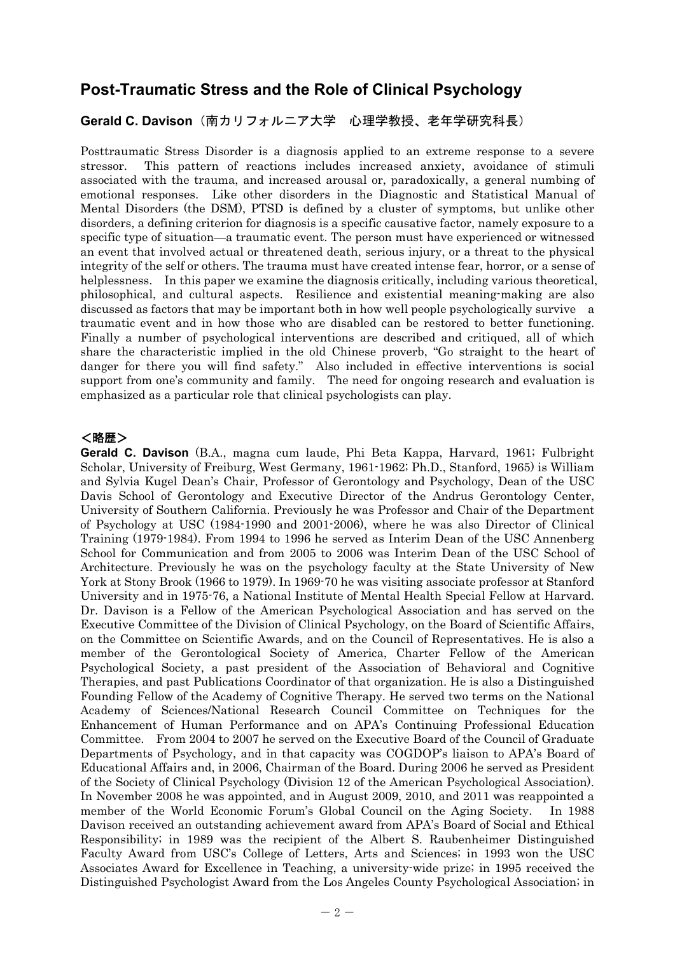# **Post-Traumatic Stress and the Role of Clinical Psychology**

## **Gerald C. Davison**(南カリフォルニア大学 心理学教授、老年学研究科長)

Posttraumatic Stress Disorder is a diagnosis applied to an extreme response to a severe stressor. This pattern of reactions includes increased anxiety, avoidance of stimuli associated with the trauma, and increased arousal or, paradoxically, a general numbing of emotional responses. Like other disorders in the Diagnostic and Statistical Manual of Mental Disorders (the DSM), PTSD is defined by a cluster of symptoms, but unlike other disorders, a defining criterion for diagnosis is a specific causative factor, namely exposure to a specific type of situation—a traumatic event. The person must have experienced or witnessed an event that involved actual or threatened death, serious injury, or a threat to the physical integrity of the self or others. The trauma must have created intense fear, horror, or a sense of helplessness. In this paper we examine the diagnosis critically, including various theoretical, philosophical, and cultural aspects. Resilience and existential meaning-making are also discussed as factors that may be important both in how well people psychologically survive a traumatic event and in how those who are disabled can be restored to better functioning. Finally a number of psychological interventions are described and critiqued, all of which share the characteristic implied in the old Chinese proverb, "Go straight to the heart of danger for there you will find safety." Also included in effective interventions is social support from one's community and family. The need for ongoing research and evaluation is emphasized as a particular role that clinical psychologists can play.

## <略歴>

**Gerald C. Davison** (B.A., magna cum laude, Phi Beta Kappa, Harvard, 1961; Fulbright Scholar, University of Freiburg, West Germany, 1961-1962; Ph.D., Stanford, 1965) is William and Sylvia Kugel Dean's Chair, Professor of Gerontology and Psychology, Dean of the USC Davis School of Gerontology and Executive Director of the Andrus Gerontology Center, University of Southern California. Previously he was Professor and Chair of the Department of Psychology at USC (1984-1990 and 2001-2006), where he was also Director of Clinical Training (1979-1984). From 1994 to 1996 he served as Interim Dean of the USC Annenberg School for Communication and from 2005 to 2006 was Interim Dean of the USC School of Architecture. Previously he was on the psychology faculty at the State University of New York at Stony Brook (1966 to 1979). In 1969-70 he was visiting associate professor at Stanford University and in 1975-76, a National Institute of Mental Health Special Fellow at Harvard. Dr. Davison is a Fellow of the American Psychological Association and has served on the Executive Committee of the Division of Clinical Psychology, on the Board of Scientific Affairs, on the Committee on Scientific Awards, and on the Council of Representatives. He is also a member of the Gerontological Society of America, Charter Fellow of the American Psychological Society, a past president of the Association of Behavioral and Cognitive Therapies, and past Publications Coordinator of that organization. He is also a Distinguished Founding Fellow of the Academy of Cognitive Therapy. He served two terms on the National Academy of Sciences/National Research Council Committee on Techniques for the Enhancement of Human Performance and on APA's Continuing Professional Education Committee. From 2004 to 2007 he served on the Executive Board of the Council of Graduate Departments of Psychology, and in that capacity was COGDOP's liaison to APA's Board of Educational Affairs and, in 2006, Chairman of the Board. During 2006 he served as President of the Society of Clinical Psychology (Division 12 of the American Psychological Association). In November 2008 he was appointed, and in August 2009, 2010, and 2011 was reappointed a member of the World Economic Forum's Global Council on the Aging Society. In 1988 Davison received an outstanding achievement award from APA's Board of Social and Ethical Responsibility; in 1989 was the recipient of the Albert S. Raubenheimer Distinguished Faculty Award from USC's College of Letters, Arts and Sciences; in 1993 won the USC Associates Award for Excellence in Teaching, a university-wide prize; in 1995 received the Distinguished Psychologist Award from the Los Angeles County Psychological Association; in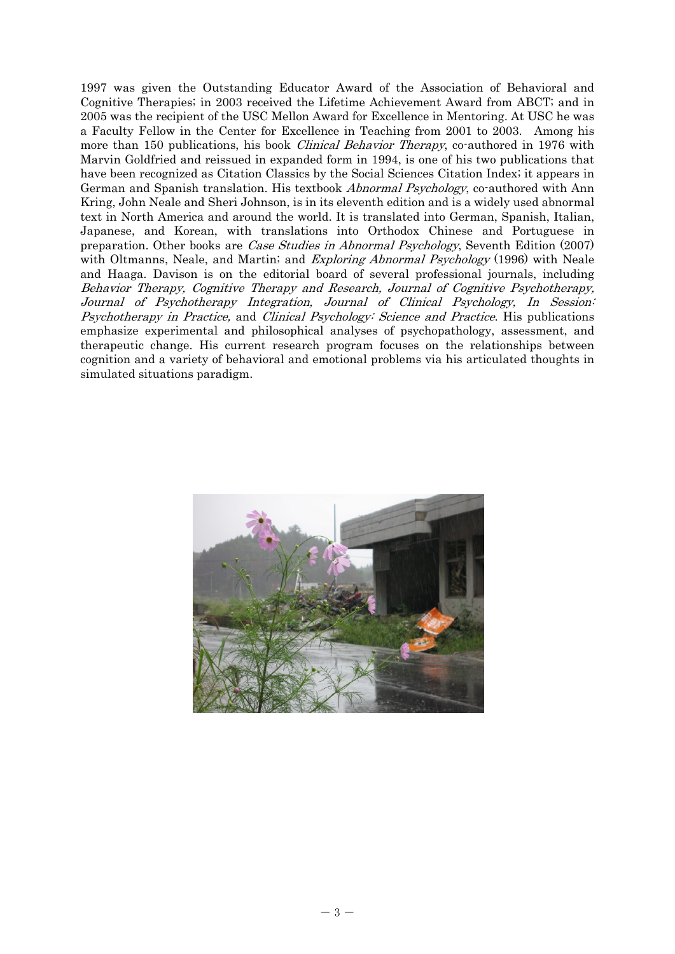1997 was given the Outstanding Educator Award of the Association of Behavioral and Cognitive Therapies; in 2003 received the Lifetime Achievement Award from ABCT; and in 2005 was the recipient of the USC Mellon Award for Excellence in Mentoring. At USC he was a Faculty Fellow in the Center for Excellence in Teaching from 2001 to 2003. Among his more than 150 publications, his book *Clinical Behavior Therapy*, co-authored in 1976 with Marvin Goldfried and reissued in expanded form in 1994, is one of his two publications that have been recognized as Citation Classics by the Social Sciences Citation Index; it appears in German and Spanish translation. His textbook *Abnormal Psychology*, co-authored with Ann Kring, John Neale and Sheri Johnson, is in its eleventh edition and is a widely used abnormal text in North America and around the world. It is translated into German, Spanish, Italian, Japanese, and Korean, with translations into Orthodox Chinese and Portuguese in preparation. Other books are Case Studies in Abnormal Psychology, Seventh Edition (2007) with Oltmanns, Neale, and Martin; and *Exploring Abnormal Psychology* (1996) with Neale and Haaga. Davison is on the editorial board of several professional journals, including Behavior Therapy, Cognitive Therapy and Research, Journal of Cognitive Psychotherapy, Journal of Psychotherapy Integration, Journal of Clinical Psychology, In Session: Psychotherapy in Practice, and Clinical Psychology: Science and Practice. His publications emphasize experimental and philosophical analyses of psychopathology, assessment, and therapeutic change. His current research program focuses on the relationships between cognition and a variety of behavioral and emotional problems via his articulated thoughts in simulated situations paradigm.

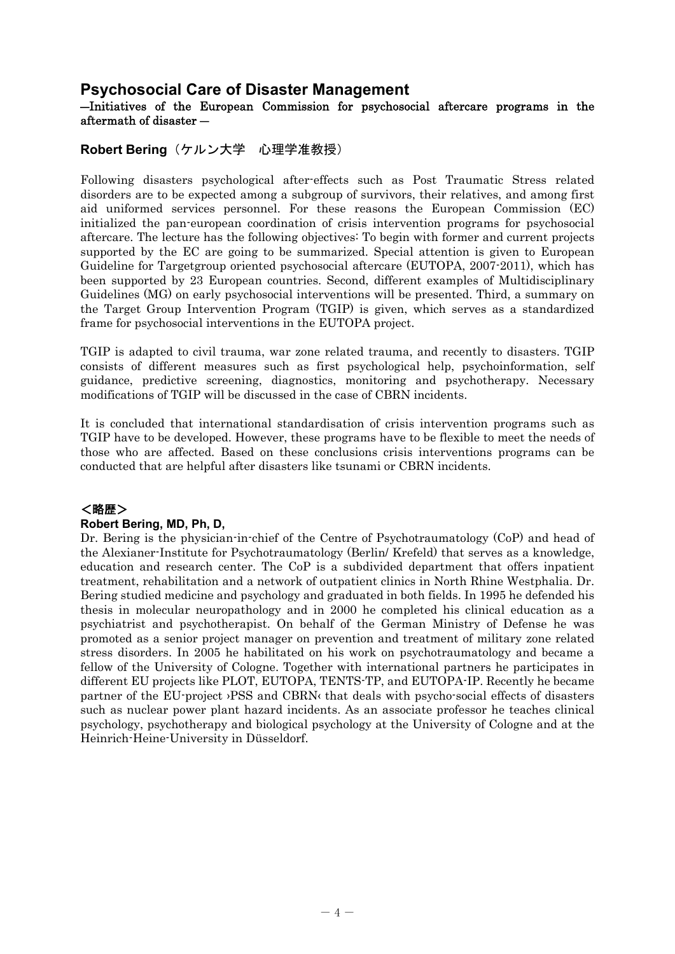# **Psychosocial Care of Disaster Management**

## ―Initiatives of the European Commission for psychosocial aftercare programs in the aftermath of disaster ―

## **Robert Bering**(ケルン大学 心理学准教授)

Following disasters psychological after-effects such as Post Traumatic Stress related disorders are to be expected among a subgroup of survivors, their relatives, and among first aid uniformed services personnel. For these reasons the European Commission (EC) initialized the pan-european coordination of crisis intervention programs for psychosocial aftercare. The lecture has the following objectives: To begin with former and current projects supported by the EC are going to be summarized. Special attention is given to European Guideline for Targetgroup oriented psychosocial aftercare (EUTOPA, 2007-2011), which has been supported by 23 European countries. Second, different examples of Multidisciplinary Guidelines (MG) on early psychosocial interventions will be presented. Third, a summary on the Target Group Intervention Program (TGIP) is given, which serves as a standardized frame for psychosocial interventions in the EUTOPA project.

TGIP is adapted to civil trauma, war zone related trauma, and recently to disasters. TGIP consists of different measures such as first psychological help, psychoinformation, self guidance, predictive screening, diagnostics, monitoring and psychotherapy. Necessary modifications of TGIP will be discussed in the case of CBRN incidents.

It is concluded that international standardisation of crisis intervention programs such as TGIP have to be developed. However, these programs have to be flexible to meet the needs of those who are affected. Based on these conclusions crisis interventions programs can be conducted that are helpful after disasters like tsunami or CBRN incidents.

## <略歴>

### **Robert Bering, MD, Ph, D,**

Dr. Bering is the physician-in-chief of the Centre of Psychotraumatology (CoP) and head of the Alexianer-Institute for Psychotraumatology (Berlin/ Krefeld) that serves as a knowledge, education and research center. The CoP is a subdivided department that offers inpatient treatment, rehabilitation and a network of outpatient clinics in North Rhine Westphalia. Dr. Bering studied medicine and psychology and graduated in both fields. In 1995 he defended his thesis in molecular neuropathology and in 2000 he completed his clinical education as a psychiatrist and psychotherapist. On behalf of the German Ministry of Defense he was promoted as a senior project manager on prevention and treatment of military zone related stress disorders. In 2005 he habilitated on his work on psychotraumatology and became a fellow of the University of Cologne. Together with international partners he participates in different EU projects like PLOT, EUTOPA, TENTS-TP, and EUTOPA-IP. Recently he became partner of the EU-project ›PSS and CBRN‹ that deals with psycho-social effects of disasters such as nuclear power plant hazard incidents. As an associate professor he teaches clinical psychology, psychotherapy and biological psychology at the University of Cologne and at the Heinrich-Heine-University in Düsseldorf.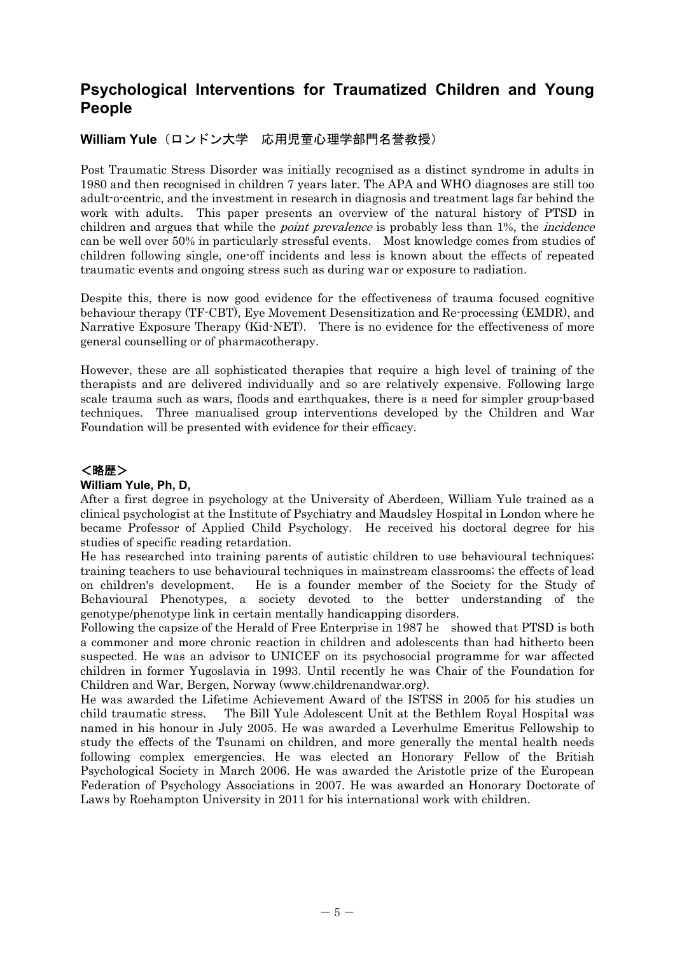# **Psychological Interventions for Traumatized Children and Young People**

## **William Yule**(ロンドン大学 応用児童心理学部門名誉教授)

Post Traumatic Stress Disorder was initially recognised as a distinct syndrome in adults in 1980 and then recognised in children 7 years later. The APA and WHO diagnoses are still too adult-o-centric, and the investment in research in diagnosis and treatment lags far behind the work with adults. This paper presents an overview of the natural history of PTSD in children and argues that while the *point prevalence* is probably less than 1%, the *incidence* can be well over 50% in particularly stressful events. Most knowledge comes from studies of children following single, one-off incidents and less is known about the effects of repeated traumatic events and ongoing stress such as during war or exposure to radiation.

Despite this, there is now good evidence for the effectiveness of trauma focused cognitive behaviour therapy (TF-CBT), Eye Movement Desensitization and Re-processing (EMDR), and Narrative Exposure Therapy (Kid-NET). There is no evidence for the effectiveness of more general counselling or of pharmacotherapy.

However, these are all sophisticated therapies that require a high level of training of the therapists and are delivered individually and so are relatively expensive. Following large scale trauma such as wars, floods and earthquakes, there is a need for simpler group-based techniques. Three manualised group interventions developed by the Children and War Foundation will be presented with evidence for their efficacy.

# <略歴>

## **William Yule, Ph, D,**

After a first degree in psychology at the University of Aberdeen, William Yule trained as a clinical psychologist at the Institute of Psychiatry and Maudsley Hospital in London where he became Professor of Applied Child Psychology. He received his doctoral degree for his studies of specific reading retardation.

He has researched into training parents of autistic children to use behavioural techniques; training teachers to use behavioural techniques in mainstream classrooms; the effects of lead on children's development. He is a founder member of the Society for the Study of Behavioural Phenotypes, a society devoted to the better understanding of the genotype/phenotype link in certain mentally handicapping disorders.

Following the capsize of the Herald of Free Enterprise in 1987 he showed that PTSD is both a commoner and more chronic reaction in children and adolescents than had hitherto been suspected. He was an advisor to UNICEF on its psychosocial programme for war affected children in former Yugoslavia in 1993. Until recently he was Chair of the Foundation for Children and War, Bergen, Norway (www.childrenandwar.org).

He was awarded the Lifetime Achievement Award of the ISTSS in 2005 for his studies un child traumatic stress. The Bill Yule Adolescent Unit at the Bethlem Royal Hospital was named in his honour in July 2005. He was awarded a Leverhulme Emeritus Fellowship to study the effects of the Tsunami on children, and more generally the mental health needs following complex emergencies. He was elected an Honorary Fellow of the British Psychological Society in March 2006. He was awarded the Aristotle prize of the European Federation of Psychology Associations in 2007. He was awarded an Honorary Doctorate of Laws by Roehampton University in 2011 for his international work with children.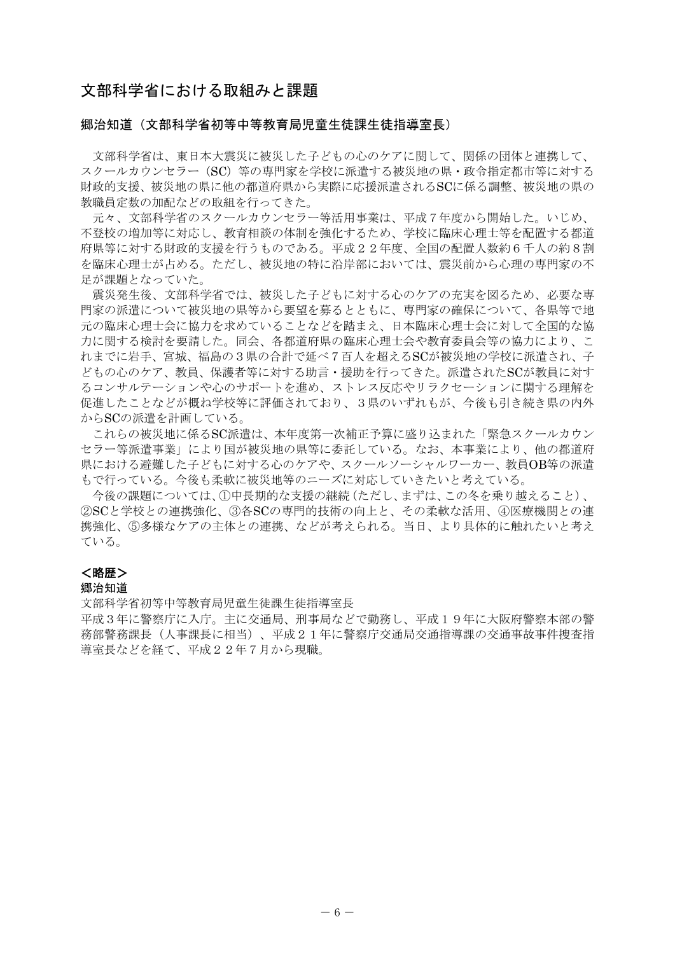## 文部科学省における取組みと課題

### 郷治知道(文部科学省初等中等教育局児童生徒課生徒指導室長)

 文部科学省は、東日本大震災に被災した子どもの心のケアに関して、関係の団体と連携して、 スクールカウンセラー(SC)等の専門家を学校に派遣する被災地の県・政令指定都市等に対する 財政的支援、被災地の県に他の都道府県から実際に応援派遣されるSCに係る調整、被災地の県の 教職員定数の加配などの取組を行ってきた。

 元々、文部科学省のスクールカウンセラー等活用事業は、平成7年度から開始した。いじめ、 不登校の増加等に対応し、教育相談の体制を強化するため、学校に臨床心理士等を配置する都道 府県等に対する財政的支援を行うものである。平成22年度、全国の配置人数約6千人の約8割 を臨床心理士が占める。ただし、被災地の特に沿岸部においては、震災前から心理の専門家の不 足が課題となっていた。

 震災発生後、文部科学省では、被災した子どもに対する心のケアの充実を図るため、必要な専 門家の派遣について被災地の県等から要望を募るとともに、専門家の確保について、各県等で地 元の臨床心理士会に協力を求めていることなどを踏まえ、日本臨床心理士会に対して全国的な協 力に関する検討を要請した。同会、各都道府県の臨床心理士会や教育委員会等の協力により、こ れまでに岩手、宮城、福島の3県の合計で延べ7百人を超えるSCが被災地の学校に派遣され、子 どもの心のケア、教員、保護者等に対する助言・援助を行ってきた。派遣されたSCが教員に対す るコンサルテーションや心のサポートを進め、ストレス反応やリラクセーションに関する理解を 促進したことなどが概ね学校等に評価されており、3県のいずれもが、今後も引き続き県の内外 からSCの派遣を計画している。

 これらの被災地に係るSC派遣は、本年度第一次補正予算に盛り込まれた「緊急スクールカウン セラー等派遣事業」により国が被災地の県等に委託している。なお、本事業により、他の都道府 県における避難した子どもに対する心のケアや、スクールソーシャルワーカー、教員OB等の派遣 もで行っている。今後も柔軟に被災地等のニーズに対応していきたいと考えている。

 今後の課題については、①中長期的な支援の継続(ただし、まずは、この冬を乗り越えること)、 ②SCと学校との連携強化、③各SCの専門的技術の向上と、その柔軟な活用、④医療機関との連 携強化、⑤多様なケアの主体との連携、などが考えられる。当日、より具体的に触れたいと考え ている。

### <略歴>

### 郷治知道

文部科学省初等中等教育局児童生徒課生徒指導室長

平成3年に警察庁に入庁。主に交通局、刑事局などで勤務し、平成19年に大阪府警察本部の警 務部警務課長(人事課長に相当)、平成21年に警察庁交通局交通指導課の交通事故事件捜査指 導室長などを経て、平成22年7月から現職。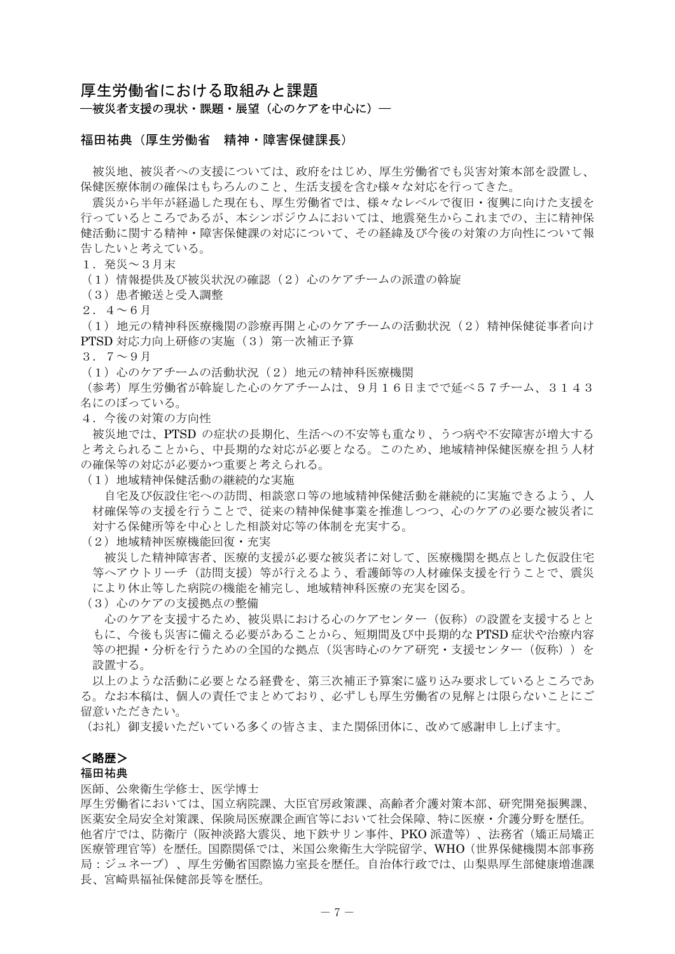### 厚生労働省における取組みと課題

―被災者支援の現状・課題・展望(心のケアを中心に)―

#### 福田祐典(厚生労働省 精神・障害保健課長)

 被災地、被災者への支援については、政府をはじめ、厚生労働省でも災害対策本部を設置し、 保健医療体制の確保はもちろんのこと、生活支援を含む様々な対応を行ってきた。

 震災から半年が経過した現在も、厚生労働省では、様々なレベルで復旧・復興に向けた支援を 行っているところであるが、本シンポジウムにおいては、地震発生からこれまでの、主に精神保 健活動に関する精神・障害保健課の対応について、その経緯及び今後の対策の方向性について報 告したいと考えている。

1.発災~3月末

(1)情報提供及び被災状況の確認(2)心のケアチームの派遣の斡旋

(3)患者搬送と受入調整

 $2.4~\sim~6~\text{H}$ 

(1)地元の精神科医療機関の診療再開と心のケアチームの活動状況(2)精神保健従事者向け PTSD 対応力向上研修の実施 (3) 第一次補正予算

 $3.7~\sim~9~\text{H}$ 

(1) 心のケアチームの活動状況 (2) 地元の精神科医療機関

(参考)厚生労働省が斡旋した心のケアチームは、9月16日までで延べ57チーム、3143 名にのぼっている。

4.今後の対策の方向性

 被災地では、PTSD の症状の長期化、生活への不安等も重なり、うつ病や不安障害が増大する と考えられることから、中長期的な対応が必要となる。このため、地域精神保健医療を担う人材 の確保等の対応が必要かつ重要と考えられる。

(1)地域精神保健活動の継続的な実施

 自宅及び仮設住宅への訪問、相談窓口等の地域精神保健活動を継続的に実施できるよう、人 材確保等の支援を行うことで、従来の精神保健事業を推進しつつ、心のケアの必要な被災者に 対する保健所等を中心とした相談対応等の体制を充実する。

(2)地域精神医療機能回復・充実

 被災した精神障害者、医療的支援が必要な被災者に対して、医療機関を拠点とした仮設住宅 等へアウトリーチ(訪問支援)等が行えるよう、看護師等の人材確保支援を行うことで、震災 により休止等した病院の機能を補完し、地域精神科医療の充実を図る。

(3) 心のケアの支援拠点の整備

 心のケアを支援するため、被災県における心のケアセンター(仮称)の設置を支援するとと もに、今後も災害に備える必要があることから、短期間及び中長期的な PTSD 症状や治療内容 等の把握・分析を行うための全国的な拠点(災害時心のケア研究・支援センター(仮称))を 設置する。

 以上のような活動に必要となる経費を、第三次補正予算案に盛り込み要求しているところであ る。なお本稿は、個人の責任でまとめており、必ずしも厚生労働省の見解とは限らないことにご 留意いただきたい。

(お礼)御支援いただいている多くの皆さま、また関係団体に、改めて感謝申し上げます。

### <略歴>

### 福田祐典

#### 医師、公衆衛生学修士、医学博士

厚生労働省においては、国立病院課、大臣官房政策課、高齢者介護対策本部、研究開発振興課、 医薬安全局安全対策課、保険局医療課企画官等において社会保障、特に医療・介護分野を歴任。 他省庁では、防衛庁(阪神淡路大震災、地下鉄サリン事件、PKO 派遣等)、法務省(矯正局矯正 医療管理官等)を歴任。国際関係では、米国公衆衛生大学院留学、WHO(世界保健機関本部事務 局:ジュネーブ)、厚生労働省国際協力室長を歴任。自治体行政では、山梨県厚生部健康増進課 長、宮崎県福祉保健部長等を歴任。